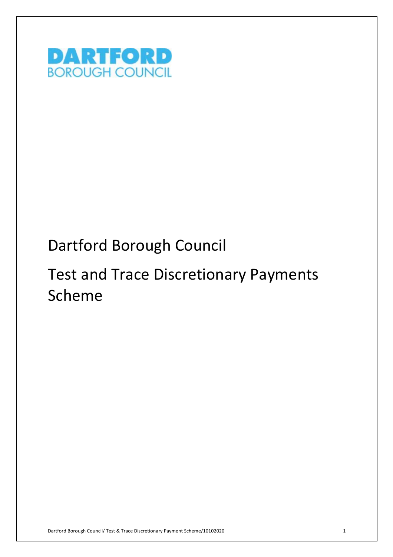

# Dartford Borough Council

# Test and Trace Discretionary Payments Scheme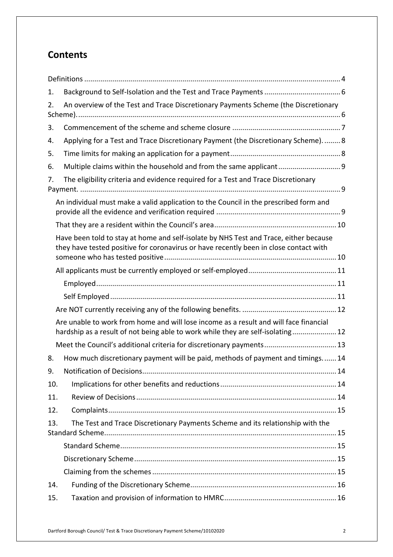# **Contents**

| 1.  |                                                                                                                                                                                |
|-----|--------------------------------------------------------------------------------------------------------------------------------------------------------------------------------|
| 2.  | An overview of the Test and Trace Discretionary Payments Scheme (the Discretionary                                                                                             |
| 3.  |                                                                                                                                                                                |
| 4.  | Applying for a Test and Trace Discretionary Payment (the Discretionary Scheme)8                                                                                                |
| 5.  |                                                                                                                                                                                |
| 6.  |                                                                                                                                                                                |
| 7.  | The eligibility criteria and evidence required for a Test and Trace Discretionary                                                                                              |
|     | An individual must make a valid application to the Council in the prescribed form and                                                                                          |
|     |                                                                                                                                                                                |
|     | Have been told to stay at home and self-isolate by NHS Test and Trace, either because<br>they have tested positive for coronavirus or have recently been in close contact with |
|     |                                                                                                                                                                                |
|     |                                                                                                                                                                                |
|     |                                                                                                                                                                                |
|     |                                                                                                                                                                                |
|     | Are unable to work from home and will lose income as a result and will face financial<br>hardship as a result of not being able to work while they are self-isolating 12       |
|     | Meet the Council's additional criteria for discretionary payments 13                                                                                                           |
| 8.  | How much discretionary payment will be paid, methods of payment and timings 14                                                                                                 |
| 9.  |                                                                                                                                                                                |
| 10. |                                                                                                                                                                                |
| 11. |                                                                                                                                                                                |
| 12. |                                                                                                                                                                                |
| 13. | The Test and Trace Discretionary Payments Scheme and its relationship with the                                                                                                 |
|     |                                                                                                                                                                                |
|     |                                                                                                                                                                                |
|     |                                                                                                                                                                                |
| 14. |                                                                                                                                                                                |
| 15. |                                                                                                                                                                                |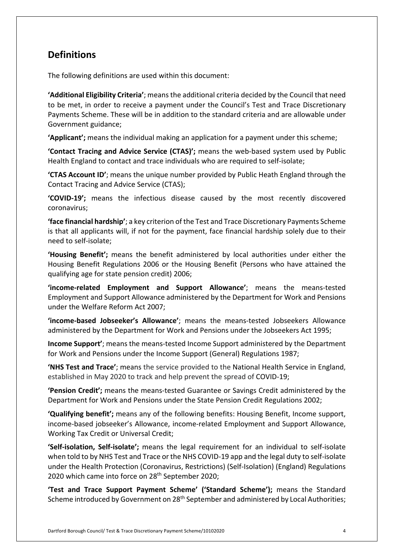# **Definitions**

The following definitions are used within this document:

 **'Additional Eligibility Criteria'**; means the additional criteria decided by the Council that need to be met, in order to receive a payment under the Council's Test and Trace Discretionary Payments Scheme. These will be in addition to the standard criteria and are allowable under Government guidance;

**'Applicant';** means the individual making an application for a payment under this scheme;

 **'Contact Tracing and Advice Service (CTAS)';** means the web-based system used by Public Health England to contact and trace individuals who are required to self-isolate;

 **'CTAS Account ID'**; means the unique number provided by Public Heath England through the Contact Tracing and Advice Service (CTAS);

 **'COVID-19';** means the infectious disease caused by the most recently discovered coronavirus;

 **'face financial hardship'**; a key criterion of the Test and Trace Discretionary Payments Scheme is that all applicants will, if not for the payment, face financial hardship solely due to their need to self-isolate;

 **'Housing Benefit';** means the benefit administered by local authorities under either the Housing Benefit Regulations 2006 or the Housing Benefit (Persons who have attained the qualifying age for state pension credit) 2006;

 **'income-related Employment and Support Allowance'**; means the means-tested Employment and Support Allowance administered by the Department for Work and Pensions under the Welfare Reform Act 2007;

 **'income-based Jobseeker's Allowance'**; means the means-tested Jobseekers Allowance administered by the Department for Work and Pensions under the Jobseekers Act 1995;

 **Income Support'**; means the means-tested Income Support administered by the Department for Work and Pensions under the Income Support (General) Regulations 1987;

 **'NHS Test and Trace'**; means the service provided to the National Health Service in England, established in May 2020 to track and help prevent the spread of COVID-19;

 **'Pension Credit';** means the means-tested Guarantee or Savings Credit administered by the Department for Work and Pensions under the State Pension Credit Regulations 2002;

 **'Qualifying benefit';** means any of the following benefits: Housing Benefit, Income support, income-based jobseeker's Allowance, income-related Employment and Support Allowance, Working Tax Credit or Universal Credit;

 **'Self-isolation, Self-isolate';** means the legal requirement for an individual to self-isolate when told to by NHS Test and Trace or the NHS COVID-19 app and the legal duty to self-isolate under the Health Protection (Coronavirus, Restrictions) (Self-Isolation) (England) Regulations 2020 which came into force on 28<sup>th</sup> September 2020;

 **'Test and Trace Support Payment Scheme' ('Standard Scheme');** means the Standard Scheme introduced by Government on 28<sup>th</sup> September and administered by Local Authorities;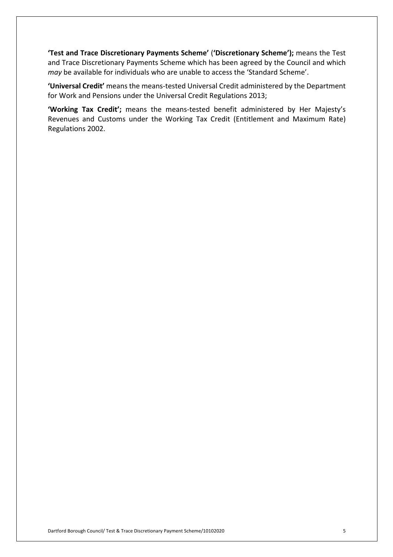**'Test and Trace Discretionary Payments Scheme'** (**'Discretionary Scheme');** means the Test and Trace Discretionary Payments Scheme which has been agreed by the Council and which *may* be available for individuals who are unable to access the 'Standard Scheme'.

 **'Universal Credit'** means the means-tested Universal Credit administered by the Department for Work and Pensions under the Universal Credit Regulations 2013;

 **'Working Tax Credit';** means the means-tested benefit administered by Her Majesty's Revenues and Customs under the Working Tax Credit (Entitlement and Maximum Rate) Regulations 2002.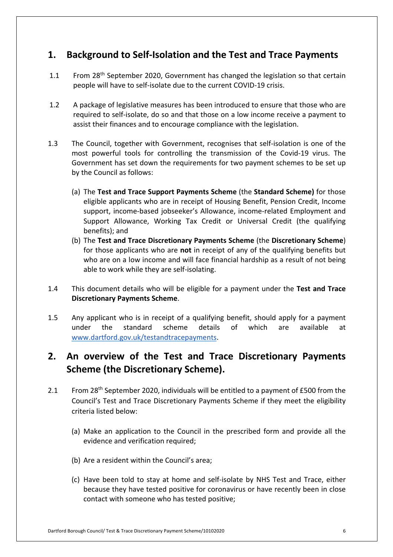# **1. Background to Self-Isolation and the Test and Trace Payments**

- 1.1 From 28<sup>th</sup> September 2020, Government has changed the legislation so that certain people will have to self-isolate due to the current COVID-19 crisis.
- 1.2 A package of legislative measures has been introduced to ensure that those who are required to self-isolate, do so and that those on a low income receive a payment to assist their finances and to encourage compliance with the legislation.
- 1.3 The Council, together with Government, recognises that self-isolation is one of the most powerful tools for controlling the transmission of the Covid-19 virus. The Government has set down the requirements for two payment schemes to be set up by the Council as follows:
	- (a) The **Test and Trace Support Payments Scheme** (the **Standard Scheme)** for those eligible applicants who are in receipt of Housing Benefit, Pension Credit, Income support, income-based jobseeker's Allowance, income-related Employment and Support Allowance, Working Tax Credit or Universal Credit (the qualifying benefits); and
	- (b) The **Test and Trace Discretionary Payments Scheme** (the **Discretionary Scheme**) for those applicants who are **not** in receipt of any of the qualifying benefits but who are on a low income and will face financial hardship as a result of not being able to work while they are self-isolating.
- 1.4 This document details who will be eligible for a payment under the **Test and Trace Discretionary Payments Scheme**.
- 1.5 Any applicant who is in receipt of a qualifying benefit, should apply for a payment under under the standard scheme details of which are available at [www.dartford.gov.uk/testandtracepayments.](www.dartford.gov.uk/testandtracepayments)

# **2. An overview of the Test and Trace Discretionary Payments Scheme (the Discretionary Scheme).**

- 2.1 From 28<sup>th</sup> September 2020, individuals will be entitled to a payment of £500 from the Council's Test and Trace Discretionary Payments Scheme if they meet the eligibility criteria listed below:
	- (a) Make an application to the Council in the prescribed form and provide all the evidence and verification required;
	- (b) Are a resident within the Council's area;
	- (c) Have been told to stay at home and self-isolate by NHS Test and Trace, either because they have tested positive for coronavirus or have recently been in close contact with someone who has tested positive;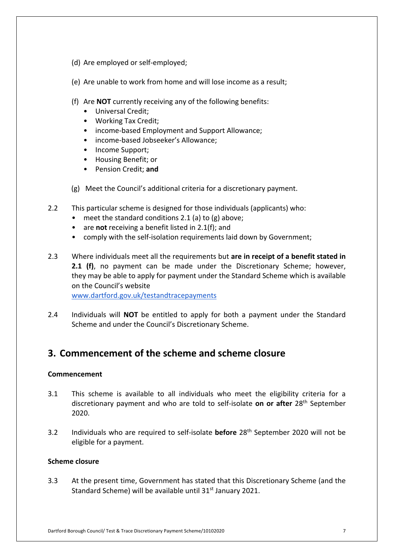- (d) Are employed or self-employed;
- (e) Are unable to work from home and will lose income as a result;
- (f) Are **NOT** currently receiving any of the following benefits:
	- Universal Credit;
	- Working Tax Credit;
	- income-based Employment and Support Allowance;
	- income-based Jobseeker's Allowance;
	- Income Support;
	- Housing Benefit; or
	- Pension Credit; **and**
- (g) Meet the Council's additional criteria for a discretionary payment.
- 2.2 This particular scheme is designed for those individuals (applicants) who:
	- meet the standard conditions 2.1 (a) to (g) above;
	- are **not** receiving a benefit listed in 2.1(f); and
	- comply with the self-isolation requirements laid down by Government;
- $2.3$  **2.1 (f)**, no payment can be made under the Discretionary Scheme; however, 2.3 Where individuals meet all the requirements but **are in receipt of a benefit stated in**  they may be able to apply for payment under the Standard Scheme which is available on the Council's website

<www.dartford.gov.uk/testandtracepayments>

 2.4 Individuals will **NOT** be entitled to apply for both a payment under the Standard Scheme and under the Council's Discretionary Scheme.

# **3. Commencement of the scheme and scheme closure**

#### **Commencement**

- $3.1$  discretionary payment and who are told to self-isolate **on or after** 28th September This scheme is available to all individuals who meet the eligibility criteria for a 2020.
- 3.2 Individuals who are required to self-isolate **before** 28th September 2020 will not be eligible for a payment.

#### **Scheme closure**

 $3.3$ Standard Scheme) will be available until 31<sup>st</sup> January 2021. At the present time, Government has stated that this Discretionary Scheme (and the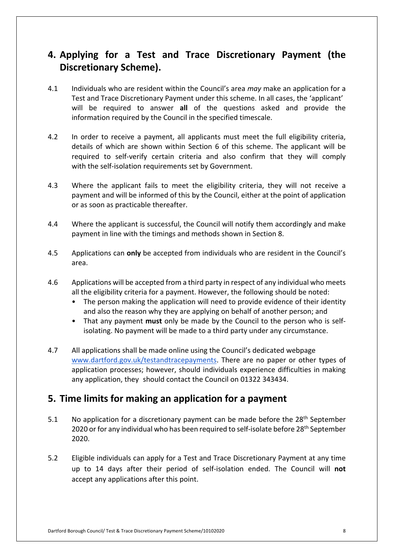# **4. Applying for a Test and Trace Discretionary Payment (the Discretionary Scheme).**

- 4.1 Individuals who are resident within the Council's area *may* make an application for a Test and Trace Discretionary Payment under this scheme. In all cases, the 'applicant' information required by the Council in the specified timescale. will be required to answer **all** of the questions asked and provide the
- $4.2$  details of which are shown within Section 6 of this scheme. The applicant will be required to self-verify certain criteria and also confirm that they will comply In order to receive a payment, all applicants must meet the full eligibility criteria, with the self-isolation requirements set by Government.
- $4.3$  payment and will be informed of this by the Council, either at the point of application or as soon as practicable thereafter. Where the applicant fails to meet the eligibility criteria, they will not receive a
- $4.4$  payment in line with the timings and methods shown in Section 8. Where the applicant is successful, the Council will notify them accordingly and make
- 4.5 Applications can **only** be accepted from individuals who are resident in the Council's area.
- 4.6 Applications will be accepted from a third party in respect of any individual who meets all the eligibility criteria for a payment. However, the following should be noted:
	- • The person making the application will need to provide evidence of their identity and also the reason why they are applying on behalf of another person; and
	- • That any payment **must** only be made by the Council to the person who is self-isolating. No payment will be made to a third party under any circumstance.
- $4.7$ www.dartford.gov.uk/testandtracepayments</u>. There are no paper or other types of application processes; however, should individuals experience difficulties in making All applications shall be made online using the Council's dedicated webpage any application, they should contact the Council on 01322 343434.

# **5. Time limits for making an application for a payment**

- $5.1$ No application for a discretionary payment can be made before the 28<sup>th</sup> September 2020 or for any individual who has been required to self-isolate before 28<sup>th</sup> September 2020.
- $5.2$  accept any applications after this point. Eligible individuals can apply for a Test and Trace Discretionary Payment at any time up to 14 days after their period of self-isolation ended. The Council will **not**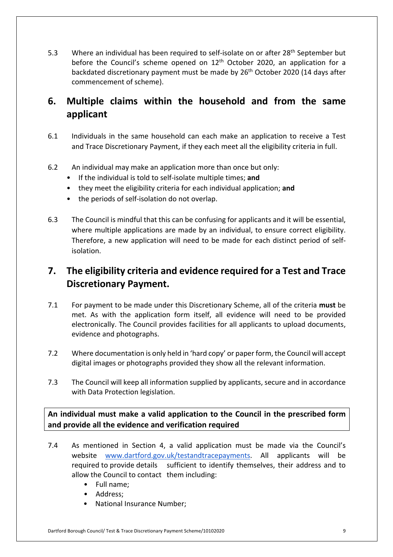$5.3$ before the Council's scheme opened on 12<sup>th</sup> October 2020, an application for a backdated discretionary payment must be made by 26<sup>th</sup> October 2020 (14 days after commencement of scheme). Where an individual has been required to self-isolate on or after 28<sup>th</sup> September but

# **6. Multiple claims within the household and from the same applicant**

- 6.1 Individuals in the same household can each make an application to receive a Test and Trace Discretionary Payment, if they each meet all the eligibility criteria in full.
- 6.2 An individual may make an application more than once but only:
	- If the individual is told to self-isolate multiple times; **and**
	- they meet the eligibility criteria for each individual application; **and**
	- the periods of self-isolation do not overlap.
- 6.3 The Council is mindful that this can be confusing for applicants and it will be essential, where multiple applications are made by an individual, to ensure correct eligibility. Therefore, a new application will need to be made for each distinct period of selfisolation.

# **7. The eligibility criteria and evidence required for a Test and Trace Discretionary Payment.**

- $7.1$  electronically. The Council provides facilities for all applicants to upload documents, 7.1 For payment to be made under this Discretionary Scheme, all of the criteria **must** be met. As with the application form itself, all evidence will need to be provided evidence and photographs.
- $7.2$ 7.2 Where documentation is only held in 'hard copy' or paper form, the Council will accept digital images or photographs provided they show all the relevant information.
- 7.3 The Council will keep all information supplied by applicants, secure and in accordance with Data Protection legislation.

### **An individual must make a valid application to the Council in the prescribed form and provide all the evidence and verification required**

- $7.4$ website [www.dartford.gov.uk/testandtracepayments.](www.dartford.gov.uk/testandtracepayments) All applicants will be required to provide details sufficient to identify themselves, their address and to 7.4 As mentioned in Section 4, a valid application must be made via the Council's allow the Council to contact them including:
	- Full name;
	- Address;
	- National Insurance Number;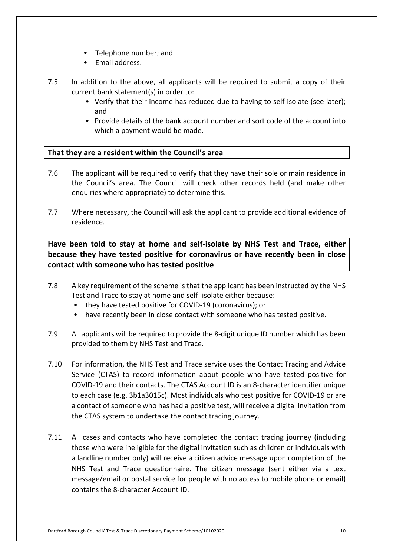- Telephone number; and
- Email address.
- 7.5 In addition to the above, all applicants will be required to submit a copy of their current bank statement(s) in order to:
	- • Verify that their income has reduced due to having to self-isolate (see later); and
	- • Provide details of the bank account number and sort code of the account into which a payment would be made.

#### **That they are a resident within the Council's area**

- 7.6 enquiries where appropriate) to determine this. The applicant will be required to verify that they have their sole or main residence in the Council's area. The Council will check other records held (and make other
- $7.7$ 7.7 Where necessary, the Council will ask the applicant to provide additional evidence of residence.

 **Have been told to stay at home and self-isolate by NHS Test and Trace, either because they have tested positive for coronavirus or have recently been in close contact with someone who has tested positive** 

- $7.8$  Test and Trace to stay at home and self- isolate either because: A key requirement of the scheme is that the applicant has been instructed by the NHS
	- they have tested positive for COVID-19 (coronavirus); or
	- have recently been in close contact with someone who has tested positive.
- 7.9 provided to them by NHS Test and Trace. All applicants will be required to provide the 8-digit unique ID number which has been
- $7.10$  Service (CTAS) to record information about people who have tested positive for COVID-19 and their contacts. The CTAS Account ID is an 8-character identifier unique a contact of someone who has had a positive test, will receive a digital invitation from For information, the NHS Test and Trace service uses the Contact Tracing and Advice to each case (e.g. 3b1a3015c). Most individuals who test positive for COVID-19 or are the CTAS system to undertake the contact tracing journey.
- 7.11 All cases and contacts who have completed the contact tracing journey (including message/email or postal service for people with no access to mobile phone or email) those who were ineligible for the digital invitation such as children or individuals with a landline number only) will receive a citizen advice message upon completion of the NHS Test and Trace questionnaire. The citizen message (sent either via a text contains the 8-character Account ID.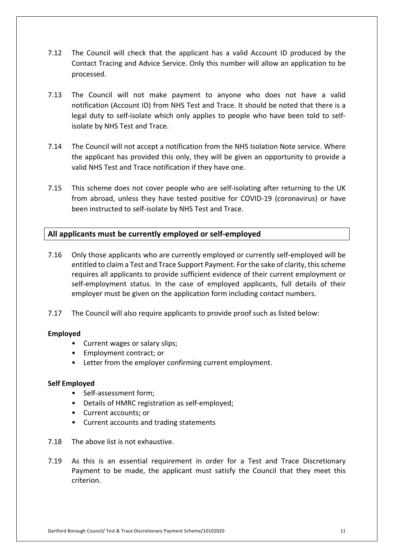- $7.12$  Contact Tracing and Advice Service. Only this number will allow an application to be The Council will check that the applicant has a valid Account ID produced by the processed.
- $7.13$  notification (Account ID) from NHS Test and Trace. It should be noted that there is a isolate by NHS Test and Trace. The Council will not make payment to anyone who does not have a valid legal duty to self-isolate which only applies to people who have been told to self-
- 7.14 The Council will not accept a notification from the NHS Isolation Note service. Where the applicant has provided this only, they will be given an opportunity to provide a valid NHS Test and Trace notification if they have one.
- 7.15 This scheme does not cover people who are self-isolating after returning to the UK from abroad, unless they have tested positive for COVID-19 (coronavirus) or have been instructed to self-isolate by NHS Test and Trace.

#### **All applicants must be currently employed or self-employed**

- $7.16$  entitled to claim a Test and Trace Support Payment. For the sake of clarity, this scheme requires all applicants to provide sufficient evidence of their current employment or self-employment status. In the case of employed applicants, full details of their employer must be given on the application form including contact numbers. 7.16 Only those applicants who are currently employed or currently self-employed will be
- 7.17 The Council will also require applicants to provide proof such as listed below:

#### **Employed**

- Current wages or salary slips;
- Employment contract; or
- Letter from the employer confirming current employment.

#### **Self Employed**

- Self-assessment form;
- Details of HMRC registration as self-employed;
- Current accounts; or
- Current accounts and trading statements
- 7.18 The above list is not exhaustive.
- $7.19$  Payment to be made, the applicant must satisfy the Council that they meet this criterion. As this is an essential requirement in order for a Test and Trace Discretionary criterion. Dartford Borough Council/ Test & Trace Discretionary Payment Scheme/10102020 11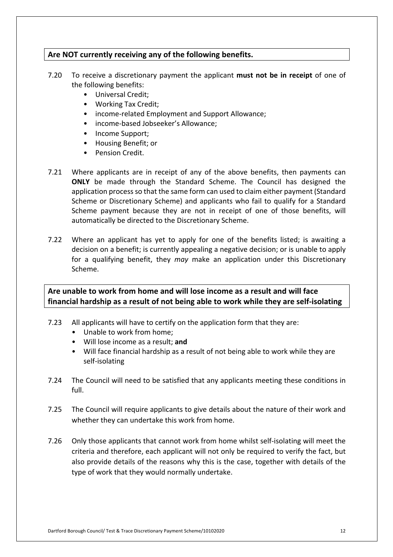#### **Are NOT currently receiving any of the following benefits.**

- $7.20$ To receive a discretionary payment the applicant must not be in receipt of one of the following benefits:
	- Universal Credit;
	- Working Tax Credit;
	- income-related Employment and Support Allowance;
	- income-based Jobseeker's Allowance;
	- Income Support;
	- Housing Benefit; or
	- Pension Credit.
- $7.21$  **ONLY** be made through the Standard Scheme. The Council has designed the application process so that the same form can used to claim either payment (Standard Scheme or Discretionary Scheme) and applicants who fail to qualify for a Standard Scheme payment because they are not in receipt of one of those benefits, will automatically be directed to the Discretionary Scheme. Where applicants are in receipt of any of the above benefits, then payments can
- $7.22$  decision on a benefit; is currently appealing a negative decision; or is unable to apply Where an applicant has yet to apply for one of the benefits listed; is awaiting a for a qualifying benefit, they *may* make an application under this Discretionary Scheme.

 **Are unable to work from home and will lose income as a result and will face financial hardship as a result of not being able to work while they are self-isolating** 

- $7.23$ All applicants will have to certify on the application form that they are:
	- Unable to work from home;
	- Will lose income as a result; **and**
	- • Will face financial hardship as a result of not being able to work while they are self-isolating
- $7.24$ The Council will need to be satisfied that any applicants meeting these conditions in full.
- $7.25$  whether they can undertake this work from home. The Council will require applicants to give details about the nature of their work and
- $7.26$  criteria and therefore, each applicant will not only be required to verify the fact, but 7.26 Only those applicants that cannot work from home whilst self-isolating will meet the also provide details of the reasons why this is the case, together with details of the type of work that they would normally undertake.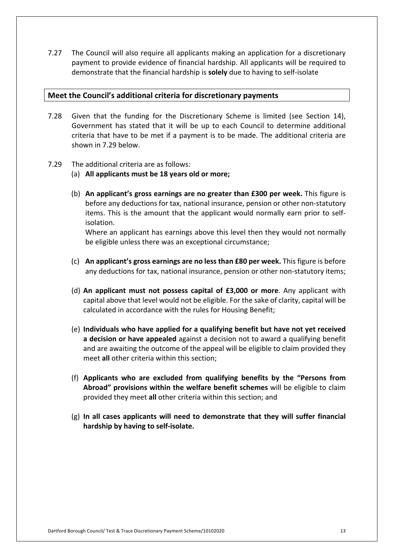$7.27$  payment to provide evidence of financial hardship. All applicants will be required to demonstrate that the financial hardship is **solely** due to having to self-isolate The Council will also require all applicants making an application for a discretionary

#### **Meet the Council's additional criteria for discretionary payments**

- $7.28$  Government has stated that it will be up to each Council to determine additional criteria that have to be met if a payment is to be made. The additional criteria are Given that the funding for the Discretionary Scheme is limited (see Section 14), shown in 7.29 below.
- 7.29 The additional criteria are as follows:
	- (a) **All applicants must be 18 years old or more;**
	- (b) **An applicant's gross earnings are no greater than £300 per week.** This figure is before any deductions for tax, national insurance, pension or other non-statutory items. This is the amount that the applicant would normally earn prior to selfisolation.

 Where an applicant has earnings above this level then they would not normally be eligible unless there was an exceptional circumstance;

- (c) **An applicant's gross earnings are no less than £80 per week.** This figure is before any deductions for tax, national insurance, pension or other non-statutory items;
- (d) **An applicant must not possess capital of £3,000 or more**. Any applicant with capital above that level would not be eligible. For the sake of clarity, capital will be calculated in accordance with the rules for Housing Benefit;
- (e) **Individuals who have applied for a qualifying benefit but have not yet received a decision or have appealed** against a decision not to award a qualifying benefit and are awaiting the outcome of the appeal will be eligible to claim provided they meet **all** other criteria within this section;
- (f) **Applicants who are excluded from qualifying benefits by the "Persons from Abroad" provisions within the welfare benefit schemes** will be eligible to claim provided they meet **all** other criteria within this section; and
- (g) **In all cases applicants will need to demonstrate that they will suffer financial hardship by having to self-isolate.**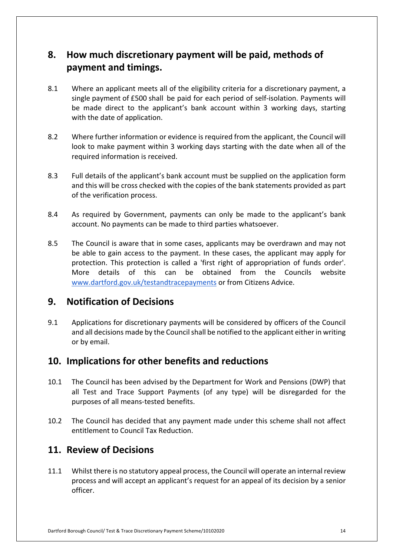# **8. How much discretionary payment will be paid, methods of payment and timings.**

- 8.1 single payment of £500 shall be paid for each period of self-isolation. Payments will Where an applicant meets all of the eligibility criteria for a discretionary payment, a be made direct to the applicant's bank account within 3 working days, starting with the date of application.
- $8.2$  required information is received. 8.2 Where further information or evidence is required from the applicant, the Council will look to make payment within 3 working days starting with the date when all of the
- 8.3 Full details of the applicant's bank account must be supplied on the application form and this will be cross checked with the copies of the bank statements provided as part of the verification process.
- 8.4 account. No payments can be made to third parties whatsoever. As required by Government, payments can only be made to the applicant's bank
- $8.5$  protection. This protection is called a 'first right of appropriation of funds order'. More details of this can be obtained from the Councils website <www.dartford.gov.uk/testandtracepayments>or from Citizens Advice. The Council is aware that in some cases, applicants may be overdrawn and may not be able to gain access to the payment. In these cases, the applicant may apply for

### **9. Notification of Decisions**

 9.1 Applications for discretionary payments will be considered by officers of the Council and all decisions made by the Council shall be notified to the applicant either in writing or by email.

### **10. Implications for other benefits and reductions**

- $10.1$  purposes of all means-tested benefits. The Council has been advised by the Department for Work and Pensions (DWP) that all Test and Trace Support Payments (of any type) will be disregarded for the
- $10.2$  entitlement to Council Tax Reduction. The Council has decided that any payment made under this scheme shall not affect

### **11. Review of Decisions**

 11.1 Whilst there is no statutory appeal process, the Council will operate an internal review process and will accept an applicant's request for an appeal of its decision by a senior officer.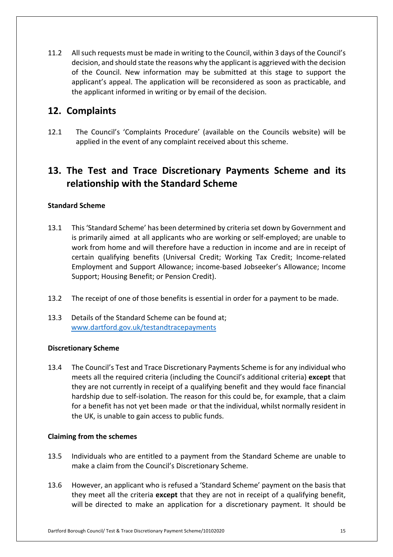11.2 decision, and should state the reasons why the applicant is aggrieved with the decision applicant's appeal. The application will be reconsidered as soon as practicable, and All such requests must be made in writing to the Council, within 3 days of the Council's of the Council. New information may be submitted at this stage to support the the applicant informed in writing or by email of the decision.

# **12. Complaints**

 $12.1$  applied in the event of any complaint received about this scheme. 12.1 The Council's 'Complaints Procedure' (available on the Councils website) will be

# **13. The Test and Trace Discretionary Payments Scheme and its relationship with the Standard Scheme**

#### **Standard Scheme**

- 13.1 This 'Standard Scheme' has been determined by criteria set down by Government and certain qualifying benefits (Universal Credit; Working Tax Credit; Income-related Employment and Support Allowance; income-based Jobseeker's Allowance; Income Support; Housing Benefit; or Pension Credit). is primarily aimed at all applicants who are working or self-employed; are unable to work from home and will therefore have a reduction in income and are in receipt of
- 13.2 The receipt of one of those benefits is essential in order for a payment to be made.
- $13.3$ Details of the Standard Scheme can be found at; <www.dartford.gov.uk/testandtracepayments>

#### **Discretionary Scheme**

 $13.4$  meets all the required criteria (including the Council's additional criteria) **except** that hardship due to self-isolation. The reason for this could be, for example, that a claim 13.4 The Council's Test and Trace Discretionary Payments Scheme is for any individual who they are not currently in receipt of a qualifying benefit and they would face financial for a benefit has not yet been made or that the individual, whilst normally resident in the UK, is unable to gain access to public funds.

#### **Claiming from the schemes**

- 13.5 Individuals who are entitled to a payment from the Standard Scheme are unable to make a claim from the Council's Discretionary Scheme.
- $13.6$  will be directed to make an application for a discretionary payment. It should be However, an applicant who is refused a 'Standard Scheme' payment on the basis that they meet all the criteria **except** that they are not in receipt of a qualifying benefit,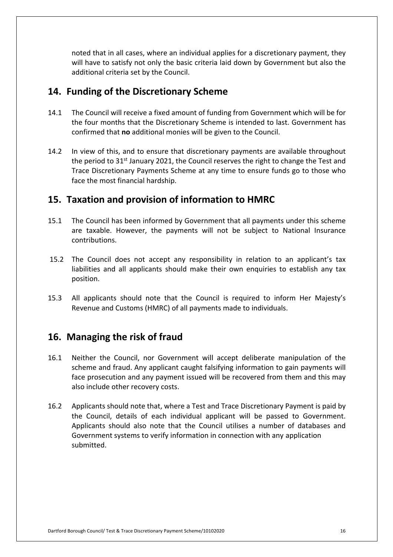noted that in all cases, where an individual applies for a discretionary payment, they additional criteria set by the Council. will have to satisfy not only the basic criteria laid down by Government but also the

### **14. Funding of the Discretionary Scheme**

- $14.1$  confirmed that **no** additional monies will be given to the Council. 14.1 The Council will receive a fixed amount of funding from Government which will be for the four months that the Discretionary Scheme is intended to last. Government has
- 14.2 Trace Discretionary Payments Scheme at any time to ensure funds go to those who In view of this, and to ensure that discretionary payments are available throughout the period to  $31^{st}$  January 2021, the Council reserves the right to change the Test and face the most financial hardship.

# **15. Taxation and provision of information to HMRC**

- $15.1$ 15.1 The Council has been informed by Government that all payments under this scheme are taxable. However, the payments will not be subject to National Insurance contributions.
- 15.2 The Council does not accept any responsibility in relation to an applicant's tax liabilities and all applicants should make their own enquiries to establish any tax position.
- $15.3$  Revenue and Customs (HMRC) of all payments made to individuals. All applicants should note that the Council is required to inform Her Majesty's

### **16. Managing the risk of fraud**

- $16.1$  scheme and fraud. Any applicant caught falsifying information to gain payments will Neither the Council, nor Government will accept deliberate manipulation of the face prosecution and any payment issued will be recovered from them and this may also include other recovery costs.
- 16.2 Applicants should note that, where a Test and Trace Discretionary Payment is paid by Applicants should also note that the Council utilises a number of databases and Government systems to verify information in connection with any application the Council, details of each individual applicant will be passed to Government. submitted.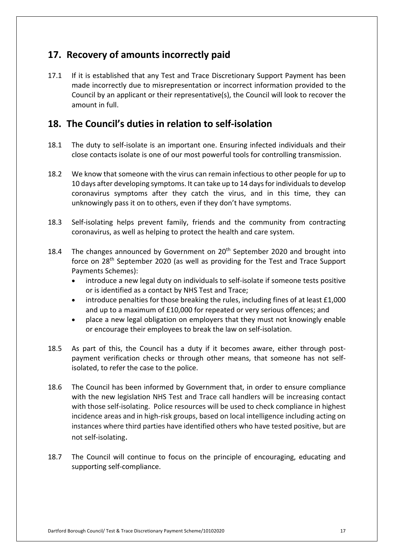# **17. Recovery of amounts incorrectly paid**

 $17.1$  made incorrectly due to misrepresentation or incorrect information provided to the Council by an applicant or their representative(s), the Council will look to recover the amount in full. If it is established that any Test and Trace Discretionary Support Payment has been

### **18. The Council's duties in relation to self-isolation**

- $18.1$ The duty to self-isolate is an important one. Ensuring infected individuals and their close contacts isolate is one of our most powerful tools for controlling transmission.
- 18.2 We know that someone with the virus can remain infectious to other people for up to coronavirus symptoms after they catch the virus, and in this time, they can unknowingly pass it on to others, even if they don't have symptoms. 10 days after developing symptoms. It can take up to 14 days for individuals to develop
- 18.3 Self-isolating helps prevent family, friends and the community from contracting coronavirus, as well as helping to protect the health and care system.
- 18.4 force on 28<sup>th</sup> September 2020 (as well as providing for the Test and Trace Support Payments Schemes): The changes announced by Government on 20<sup>th</sup> September 2020 and brought into
	- • introduce a new legal duty on individuals to self-isolate if someone tests positive or is identified as a contact by NHS Test and Trace;
	- • introduce penalties for those breaking the rules, including fines of at least £1,000 and up to a maximum of £10,000 for repeated or very serious offences; and
	- • place a new legal obligation on employers that they must not knowingly enable or encourage their employees to break the law on self-isolation.
- 18.5 payment verification checks or through other means, that someone has not self- isolated, to refer the case to the police. As part of this, the Council has a duty if it becomes aware, either through post-
- 18.6 incidence areas and in high-risk groups, based on local intelligence including acting on instances where third parties have identified others who have tested positive, but are The Council has been informed by Government that, in order to ensure compliance with the new legislation NHS Test and Trace call handlers will be increasing contact with those self-isolating. Police resources will be used to check compliance in highest not self-isolating.
- 18.7 The Council will continue to focus on the principle of encouraging, educating and supporting self-compliance.